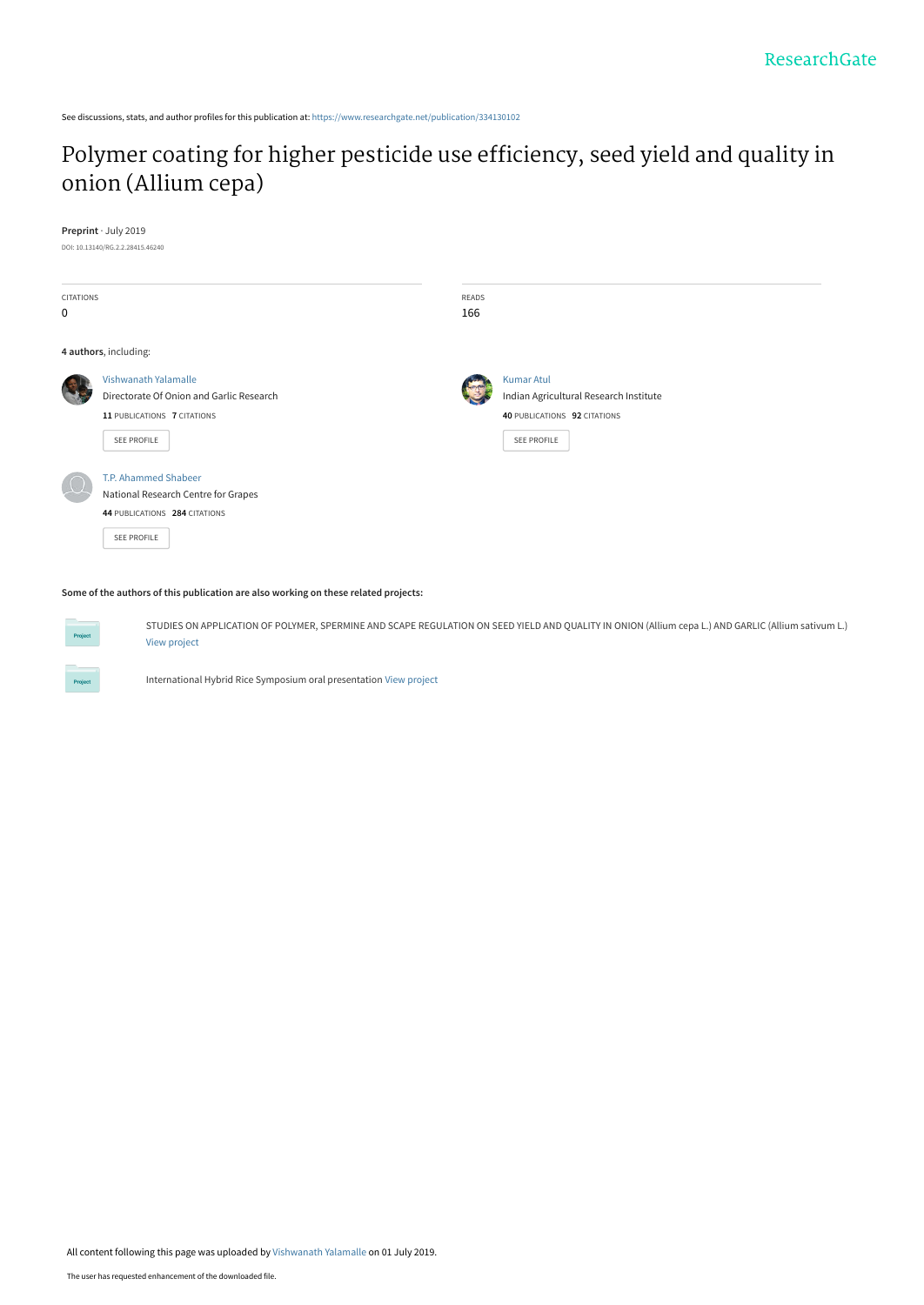See discussions, stats, and author profiles for this publication at: [https://www.researchgate.net/publication/334130102](https://www.researchgate.net/publication/334130102_Polymer_coating_for_higher_pesticide_use_efficiency_seed_yield_and_quality_in_onion_Allium_cepa?enrichId=rgreq-68f227c0af475679a3ea61c98c938a07-XXX&enrichSource=Y292ZXJQYWdlOzMzNDEzMDEwMjtBUzo3NzU3MDkzOTYwNDU4MjVAMTU2MTk1NDk0MDM0OQ%3D%3D&el=1_x_2&_esc=publicationCoverPdf)

# [Polymer coating for higher pesticide use efficiency, seed yield and quality in](https://www.researchgate.net/publication/334130102_Polymer_coating_for_higher_pesticide_use_efficiency_seed_yield_and_quality_in_onion_Allium_cepa?enrichId=rgreq-68f227c0af475679a3ea61c98c938a07-XXX&enrichSource=Y292ZXJQYWdlOzMzNDEzMDEwMjtBUzo3NzU3MDkzOTYwNDU4MjVAMTU2MTk1NDk0MDM0OQ%3D%3D&el=1_x_3&_esc=publicationCoverPdf) onion (Allium cepa)

**Preprint** · July 2019

DOI: 10.13140/RG.2.2.28415.46240

| CITATIONS   |                                          | READS |                                        |  |
|-------------|------------------------------------------|-------|----------------------------------------|--|
| $\mathbf 0$ |                                          | 166   |                                        |  |
|             | 4 authors, including:                    |       |                                        |  |
|             | Vishwanath Yalamalle                     |       | <b>Kumar Atul</b>                      |  |
|             | Directorate Of Onion and Garlic Research |       | Indian Agricultural Research Institute |  |
|             | 11 PUBLICATIONS 7 CITATIONS              |       | 40 PUBLICATIONS 92 CITATIONS           |  |
|             | <b>SEE PROFILE</b>                       |       | <b>SEE PROFILE</b>                     |  |
|             | <b>T.P. Ahammed Shabeer</b>              |       |                                        |  |
|             | National Research Centre for Grapes      |       |                                        |  |
|             | 44 PUBLICATIONS 284 CITATIONS            |       |                                        |  |
|             | <b>SEE PROFILE</b>                       |       |                                        |  |

**Some of the authors of this publication are also working on these related projects:**

**Project** 

STUDIES ON APPLICATION OF POLYMER, SPERMINE AND SCAPE REGULATION ON SEED YIELD AND QUALITY IN ONION (Allium cepa L.) AND GARLIC (Allium sativum L.) [View project](https://www.researchgate.net/project/STUDIES-ON-APPLICATION-OF-POLYMER-SPERMINE-AND-SCAPE-REGULATION-ON-SEED-YIELD-AND-QUALITY-IN-ONION-Allium-cepa-L-AND-GARLIC-Allium-sativum-L?enrichId=rgreq-68f227c0af475679a3ea61c98c938a07-XXX&enrichSource=Y292ZXJQYWdlOzMzNDEzMDEwMjtBUzo3NzU3MDkzOTYwNDU4MjVAMTU2MTk1NDk0MDM0OQ%3D%3D&el=1_x_9&_esc=publicationCoverPdf)

International Hybrid Rice Symposium oral presentation [View project](https://www.researchgate.net/project/International-Hybrid-Rice-Symposium-oral-presentation?enrichId=rgreq-68f227c0af475679a3ea61c98c938a07-XXX&enrichSource=Y292ZXJQYWdlOzMzNDEzMDEwMjtBUzo3NzU3MDkzOTYwNDU4MjVAMTU2MTk1NDk0MDM0OQ%3D%3D&el=1_x_9&_esc=publicationCoverPdf)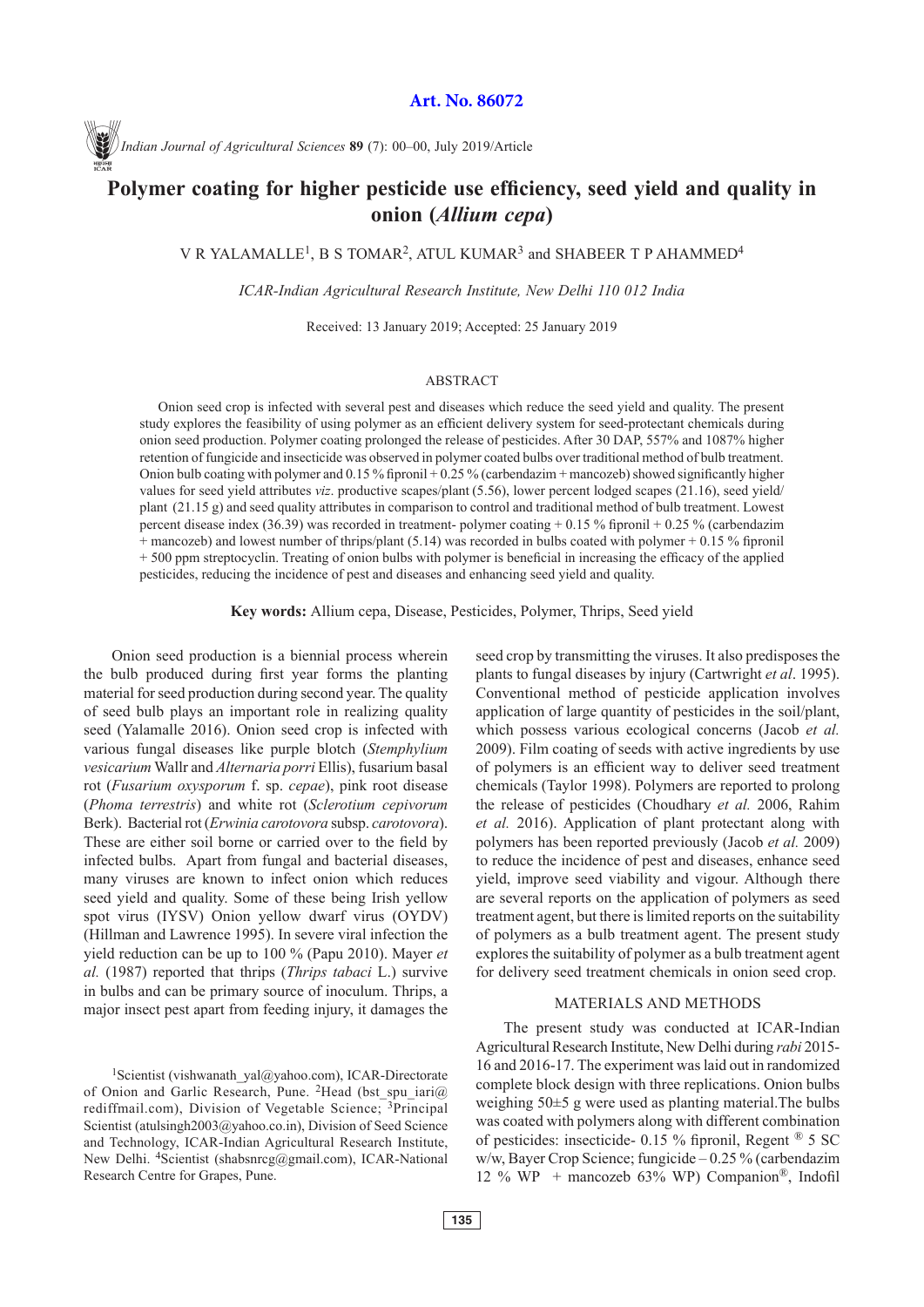**Art. No. 86072**

*Indian Journal of Agricultural Sciences* **89** (7): 00–00, July 2019/Article

# **Polymer coating for higher pesticide use efficiency, seed yield and quality in onion (***Allium cepa***)**

V R YALAMALLE<sup>1</sup>, B S TOMAR<sup>2</sup>, ATUL KUMAR<sup>3</sup> and SHABEER T P AHAMMED<sup>4</sup>

*ICAR-Indian Agricultural Research Institute, New Delhi 110 012 India*

Received: 13 January 2019; Accepted: 25 January 2019

## ABSTRACT

Onion seed crop is infected with several pest and diseases which reduce the seed yield and quality. The present study explores the feasibility of using polymer as an efficient delivery system for seed-protectant chemicals during onion seed production. Polymer coating prolonged the release of pesticides. After 30 DAP, 557% and 1087% higher retention of fungicide and insecticide was observed in polymer coated bulbs over traditional method of bulb treatment. Onion bulb coating with polymer and 0.15 % fipronil + 0.25 % (carbendazim + mancozeb) showed significantly higher values for seed yield attributes *viz*. productive scapes/plant (5.56), lower percent lodged scapes (21.16), seed yield/ plant (21.15 g) and seed quality attributes in comparison to control and traditional method of bulb treatment. Lowest percent disease index (36.39) was recorded in treatment- polymer coating + 0.15 % fipronil + 0.25 % (carbendazim + mancozeb) and lowest number of thrips/plant (5.14) was recorded in bulbs coated with polymer + 0.15 % fipronil + 500 ppm streptocyclin. Treating of onion bulbs with polymer is beneficial in increasing the efficacy of the applied pesticides, reducing the incidence of pest and diseases and enhancing seed yield and quality.

**Key words:** Allium cepa, Disease, Pesticides, Polymer, Thrips, Seed yield

Onion seed production is a biennial process wherein the bulb produced during first year forms the planting material for seed production during second year. The quality of seed bulb plays an important role in realizing quality seed (Yalamalle 2016). Onion seed crop is infected with various fungal diseases like purple blotch (*Stemphylium vesicarium* Wallr and *Alternaria porri* Ellis), fusarium basal rot (*Fusarium oxysporum* f. sp. *cepae*), pink root disease (*Phoma terrestris*) and white rot (*Sclerotium cepivorum*  Berk). Bacterial rot (*Erwinia carotovora* subsp. *carotovora*). These are either soil borne or carried over to the field by infected bulbs. Apart from fungal and bacterial diseases, many viruses are known to infect onion which reduces seed yield and quality. Some of these being Irish yellow spot virus (IYSV) Onion yellow dwarf virus (OYDV) (Hillman and Lawrence 1995). In severe viral infection the yield reduction can be up to 100 % (Papu 2010). Mayer *et al.* (1987) reported that thrips (*Thrips tabaci* L.) survive in bulbs and can be primary source of inoculum. Thrips, a major insect pest apart from feeding injury, it damages the

<sup>1</sup>Scientist (vishwanath\_yal@yahoo.com), ICAR-Directorate of Onion and Garlic Research, Pune. <sup>2</sup>Head (bst spu iari $\alpha$ ) rediffmail.com), Division of Vegetable Science; <sup>3</sup>Principal Scientist (atulsingh2003@yahoo.co.in), Division of Seed Science and Technology, ICAR-Indian Agricultural Research Institute, New Delhi. <sup>4</sup>Scientist (shabsnrcg@gmail.com), ICAR-National Research Centre for Grapes, Pune.

seed crop by transmitting the viruses. It also predisposes the plants to fungal diseases by injury (Cartwright *et al*. 1995). Conventional method of pesticide application involves application of large quantity of pesticides in the soil/plant, which possess various ecological concerns (Jacob *et al.* 2009). Film coating of seeds with active ingredients by use of polymers is an efficient way to deliver seed treatment chemicals (Taylor 1998). Polymers are reported to prolong the release of pesticides (Choudhary *et al.* 2006, Rahim *et al.* 2016). Application of plant protectant along with polymers has been reported previously (Jacob *et al.* 2009) to reduce the incidence of pest and diseases, enhance seed yield, improve seed viability and vigour. Although there are several reports on the application of polymers as seed treatment agent, but there is limited reports on the suitability of polymers as a bulb treatment agent. The present study explores the suitability of polymer as a bulb treatment agent for delivery seed treatment chemicals in onion seed crop.

#### MATERIALS AND METHODS

The present study was conducted at ICAR-Indian Agricultural Research Institute, New Delhi during *rabi* 2015- 16 and 2016-17. The experiment was laid out in randomized complete block design with three replications. Onion bulbs weighing 50±5 g were used as planting material.The bulbs was coated with polymers along with different combination of pesticides: insecticide- 0.15 % fipronil, Regent ® 5 SC w/w, Bayer Crop Science; fungicide – 0.25 % (carbendazim 12 % WP + mancozeb 63% WP) Companion<sup>®</sup>, Indofil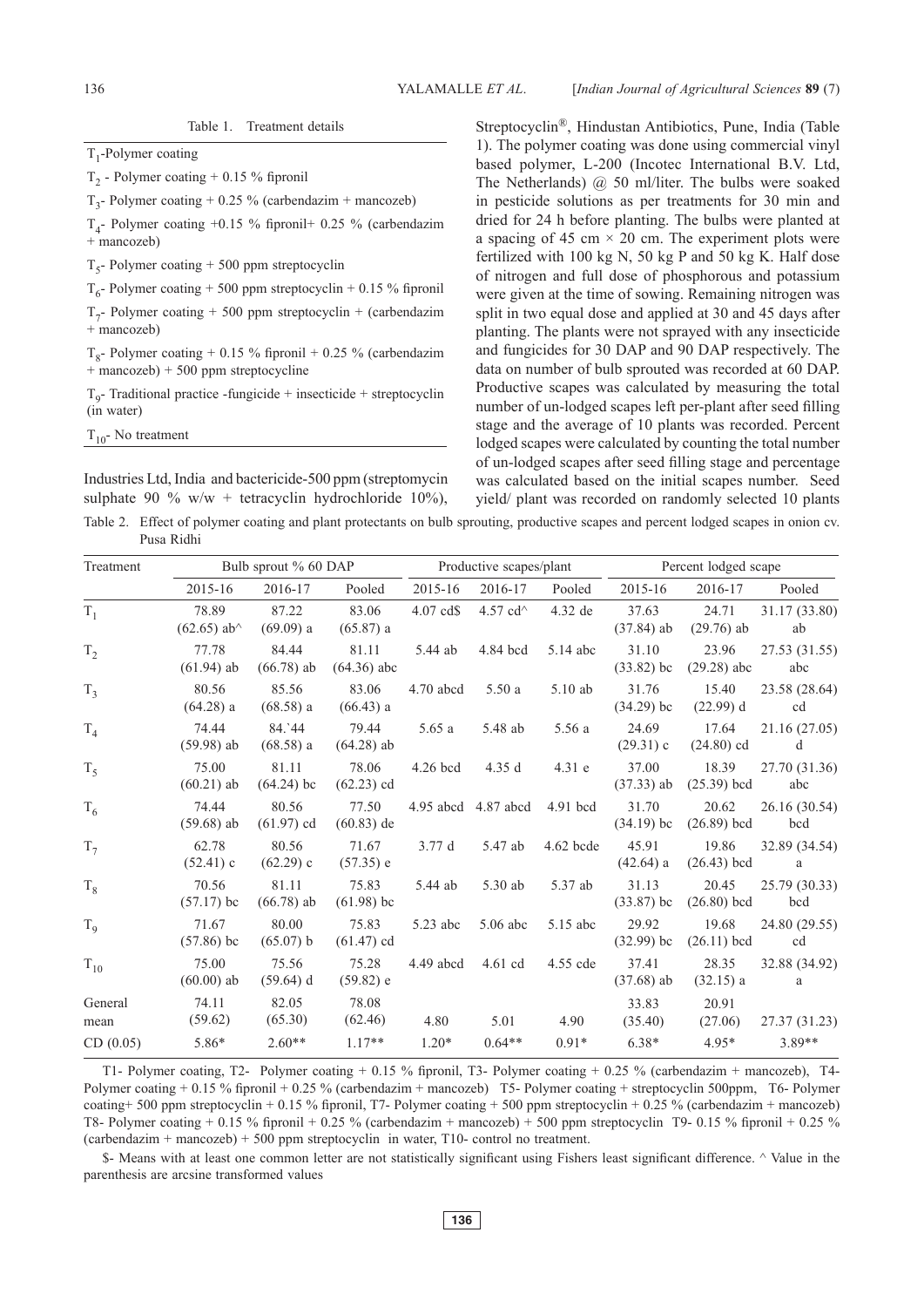YALAMALLE *ET AL*.

 $T_1$ -Polymer coating

T<sub>2</sub> - Polymer coating + 0.15 % fipronil

 $T_2$ - Polymer coating + 0.25 % (carbendazim + mancozeb)

 $T_4$ - Polymer coating +0.15 % fipronil+ 0.25 % (carbendazim + mancozeb)

 $T_5$ - Polymer coating + 500 ppm streptocyclin

 $T_6$ - Polymer coating + 500 ppm streptocyclin + 0.15 % fipronil

 $T_7$ - Polymer coating + 500 ppm streptocyclin + (carbendazim + mancozeb)

 $T_{\rm g}$ - Polymer coating + 0.15 % fipronil + 0.25 % (carbendazim  $+$  mancozeb)  $+$  500 ppm streptocycline

 $T_0$ - Traditional practice -fungicide + insecticide + streptocyclin (in water)

 $T_{10}$ - No treatment

Industries Ltd, India and bactericide-500 ppm (streptomycin sulphate 90 % w/w + tetracyclin hydrochloride 10%),

Streptocyclin®, Hindustan Antibiotics, Pune, India (Table 1). The polymer coating was done using commercial vinyl based polymer, L-200 (Incotec International B.V. Ltd, The Netherlands) @ 50 ml/liter. The bulbs were soaked in pesticide solutions as per treatments for 30 min and dried for 24 h before planting. The bulbs were planted at a spacing of 45 cm  $\times$  20 cm. The experiment plots were fertilized with 100 kg N, 50 kg P and 50 kg K. Half dose of nitrogen and full dose of phosphorous and potassium were given at the time of sowing. Remaining nitrogen was split in two equal dose and applied at 30 and 45 days after planting. The plants were not sprayed with any insecticide and fungicides for 30 DAP and 90 DAP respectively. The data on number of bulb sprouted was recorded at 60 DAP. Productive scapes was calculated by measuring the total number of un-lodged scapes left per-plant after seed filling stage and the average of 10 plants was recorded. Percent lodged scapes were calculated by counting the total number of un-lodged scapes after seed filling stage and percentage was calculated based on the initial scapes number. Seed yield/ plant was recorded on randomly selected 10 plants

Table 2. Effect of polymer coating and plant protectants on bulb sprouting, productive scapes and percent lodged scapes in onion cv. Pusa Ridhi

| Treatment       |                                                     | Bulb sprout % 60 DAP  |                        |             | Productive scapes/plant |             | Percent lodged scape  |                        |                           |  |
|-----------------|-----------------------------------------------------|-----------------------|------------------------|-------------|-------------------------|-------------|-----------------------|------------------------|---------------------------|--|
|                 | 2015-16                                             | 2016-17               | Pooled                 | 2015-16     | 2016-17                 | Pooled      | 2015-16               | 2016-17                | Pooled                    |  |
| $T_1$           | 78.89<br>$(62.65)$ ab <sup><math>\land</math></sup> | 87.22<br>(69.09) a    | 83.06<br>(65.87) a     | $4.07$ cd\$ | 4.57 cd $\sim$          | 4.32 de     | 37.63<br>$(37.84)$ ab | 24.71<br>$(29.76)$ ab  | 31.17 (33.80)<br>ab       |  |
| $T_2$           | 77.78<br>$(61.94)$ ab                               | 84.44<br>$(66.78)$ ab | 81.11<br>$(64.36)$ abc | 5.44 ab     | 4.84 bcd                | 5.14 abc    | 31.10<br>$(33.82)$ bc | 23.96<br>$(29.28)$ abc | 27.53 (31.55)<br>abc      |  |
| $T_3$           | 80.56<br>$(64.28)$ a                                | 85.56<br>$(68.58)$ a  | 83.06<br>$(66.43)$ a   | 4.70 abcd   | 5.50a                   | 5.10 ab     | 31.76<br>$(34.29)$ bc | 15.40<br>$(22.99)$ d   | 23.58 (28.64)<br>cd       |  |
| $\mathrm{T}_4$  | 74.44<br>$(59.98)$ ab                               | 84.`44<br>(68.58) a   | 79.44<br>$(64.28)$ ab  | 5.65a       | 5.48 ab                 | 5.56 a      | 24.69<br>$(29.31)$ c  | 17.64<br>$(24.80)$ cd  | 21.16 (27.05)<br>d        |  |
| $T_5$           | 75.00<br>$(60.21)$ ab                               | 81.11<br>$(64.24)$ bc | 78.06<br>$(62.23)$ cd  | $4.26$ bcd  | 4.35d                   | $4.31$ e    | 37.00<br>$(37.33)$ ab | 18.39<br>$(25.39)$ bcd | 27.70 (31.36)<br>abc      |  |
| $T_6$           | 74.44<br>$(59.68)$ ab                               | 80.56<br>$(61.97)$ cd | 77.50<br>$(60.83)$ de  |             | 4.95 abcd 4.87 abcd     | 4.91 bcd    | 31.70<br>$(34.19)$ bc | 20.62<br>$(26.89)$ bcd | 26.16 (30.54)<br>bcd      |  |
| $T_7$           | 62.78<br>$(52.41)$ c                                | 80.56<br>$(62.29)$ c  | 71.67<br>$(57.35)$ e   | 3.77d       | 5.47 ab                 | $4.62$ bcde | 45.91<br>$(42.64)$ a  | 19.86<br>$(26.43)$ bcd | 32.89 (34.54)<br>$\rm{a}$ |  |
| $T_8$           | 70.56<br>$(57.17)$ bc                               | 81.11<br>$(66.78)$ ab | 75.83<br>$(61.98)$ bc  | 5.44 ab     | 5.30 ab                 | 5.37 ab     | 31.13<br>$(33.87)$ bc | 20.45<br>$(26.80)$ bcd | 25.79 (30.33)<br>bcd      |  |
| $T_{9}$         | 71.67<br>$(57.86)$ bc                               | 80.00<br>(65.07) b    | 75.83<br>$(61.47)$ cd  | 5.23 abc    | $5.06$ abc              | 5.15 abc    | 29.92<br>$(32.99)$ bc | 19.68<br>$(26.11)$ bcd | 24.80 (29.55)<br>cd       |  |
| $T_{10}$        | 75.00<br>$(60.00)$ ab                               | 75.56<br>$(59.64)$ d  | 75.28<br>$(59.82)$ e   | 4.49 abcd   | $4.61$ cd               | 4.55 cde    | 37.41<br>$(37.68)$ ab | 28.35<br>$(32.15)$ a   | 32.88 (34.92)<br>a        |  |
| General<br>mean | 74.11<br>(59.62)                                    | 82.05<br>(65.30)      | 78.08<br>(62.46)       | 4.80        | 5.01                    | 4.90        | 33.83<br>(35.40)      | 20.91<br>(27.06)       | 27.37 (31.23)             |  |
| CD(0.05)        | 5.86*                                               | $2.60**$              | $1.17**$               | $1.20*$     | $0.64**$                | $0.91*$     | $6.38*$               | $4.95*$                | 3.89**                    |  |

T1- Polymer coating, T2- Polymer coating + 0.15 % fipronil, T3- Polymer coating + 0.25 % (carbendazim + mancozeb), T4- Polymer coating + 0.15 % fipronil + 0.25 % (carbendazim + mancozeb) T5- Polymer coating + streptocyclin 500ppm, T6- Polymer coating+ 500 ppm streptocyclin + 0.15 % fipronil, T7- Polymer coating + 500 ppm streptocyclin + 0.25 % (carbendazim + mancozeb) T8- Polymer coating + 0.15 % fipronil + 0.25 % (carbendazim + mancozeb) + 500 ppm streptocyclin T9- 0.15 % fipronil + 0.25 % (carbendazim + mancozeb) + 500 ppm streptocyclin in water, T10- control no treatment.

\$- Means with at least one common letter are not statistically significant using Fishers least significant difference. ^ Value in the parenthesis are arcsine transformed values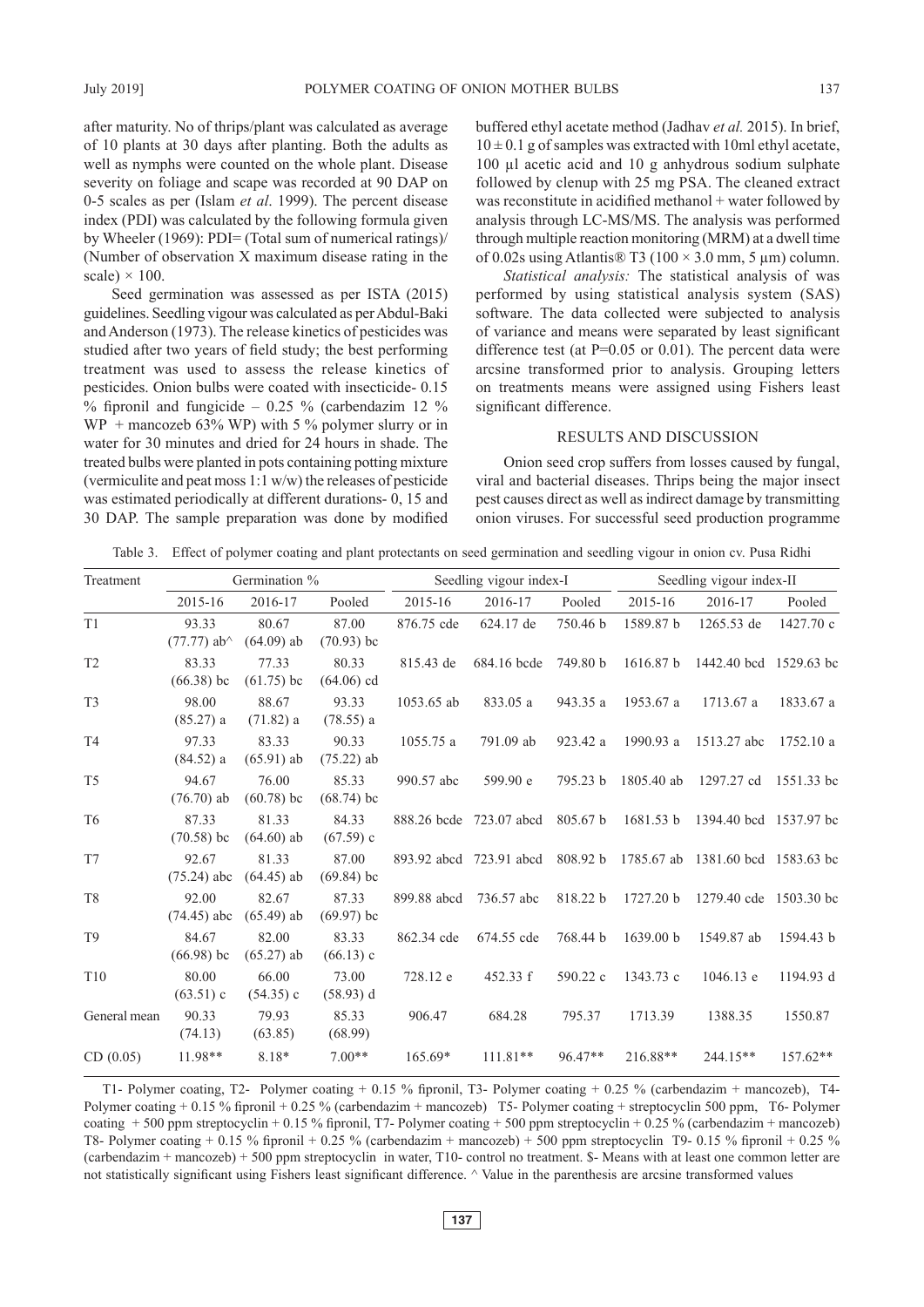after maturity. No of thrips/plant was calculated as average of 10 plants at 30 days after planting. Both the adults as well as nymphs were counted on the whole plant. Disease severity on foliage and scape was recorded at 90 DAP on 0-5 scales as per (Islam *et al*. 1999). The percent disease index (PDI) was calculated by the following formula given by Wheeler (1969): PDI= (Total sum of numerical ratings)/ (Number of observation X maximum disease rating in the scale)  $\times$  100.

Seed germination was assessed as per ISTA (2015) guidelines. Seedling vigour was calculated as per Abdul-Baki and Anderson (1973). The release kinetics of pesticides was studied after two years of field study; the best performing treatment was used to assess the release kinetics of pesticides. Onion bulbs were coated with insecticide- 0.15  $%$  fipronil and fungicide – 0.25 % (carbendazim 12 %)  $WP$  + mancozeb 63% WP) with 5 % polymer slurry or in water for 30 minutes and dried for 24 hours in shade. The treated bulbs were planted in pots containing potting mixture (vermiculite and peat moss 1:1 w/w) the releases of pesticide was estimated periodically at different durations- 0, 15 and 30 DAP. The sample preparation was done by modified

buffered ethyl acetate method (Jadhav *et al.* 2015). In brief,  $10 \pm 0.1$  g of samples was extracted with 10ml ethyl acetate, 100 µl acetic acid and 10 g anhydrous sodium sulphate followed by clenup with 25 mg PSA. The cleaned extract was reconstitute in acidified methanol + water followed by analysis through LC-MS/MS. The analysis was performed through multiple reaction monitoring (MRM) at a dwell time of 0.02s using Atlantis $\mathcal{D}$  T3 (100  $\times$  3.0 mm, 5 µm) column.

*Statistical analysis:* The statistical analysis of was performed by using statistical analysis system (SAS) software. The data collected were subjected to analysis of variance and means were separated by least significant difference test (at  $P=0.05$  or 0.01). The percent data were arcsine transformed prior to analysis. Grouping letters on treatments means were assigned using Fishers least significant difference.

# RESULTS AND DISCUSSION

Onion seed crop suffers from losses caused by fungal, viral and bacterial diseases. Thrips being the major insect pest causes direct as well as indirect damage by transmitting onion viruses. For successful seed production programme

| Table 3. Effect of polymer coating and plant protectants on seed germination and seedling vigour in onion cv. Pusa Ridhi |  |  |  |  |  |  |  |
|--------------------------------------------------------------------------------------------------------------------------|--|--|--|--|--|--|--|
|                                                                                                                          |  |  |  |  |  |  |  |

| Treatment       | Germination %                                       |                       |                       |             | Seedling vigour index-I |          | Seedling vigour index-II |                                   |            |  |
|-----------------|-----------------------------------------------------|-----------------------|-----------------------|-------------|-------------------------|----------|--------------------------|-----------------------------------|------------|--|
|                 | 2015-16                                             | 2016-17               | Pooled                | 2015-16     | 2016-17                 | Pooled   | 2015-16                  | 2016-17                           | Pooled     |  |
| T <sub>1</sub>  | 93.33<br>$(77.77)$ ab <sup><math>\land</math></sup> | 80.67<br>$(64.09)$ ab | 87.00<br>$(70.93)$ bc | 876.75 cde  | 624.17 de               | 750.46 b | 1589.87 b                | 1265.53 de                        | 1427.70 c  |  |
| T <sub>2</sub>  | 83.33<br>$(66.38)$ bc                               | 77.33<br>$(61.75)$ bc | 80.33<br>$(64.06)$ cd | 815.43 de   | 684.16 bcde             | 749.80 h | 1616.87 b                | 1442.40 bcd 1529.63 bc            |            |  |
| T <sub>3</sub>  | 98.00<br>$(85.27)$ a                                | 88.67<br>$(71.82)$ a  | 93.33<br>$(78.55)$ a  | 1053.65 ab  | 833.05 a                | 943.35 a | 1953.67 a                | 1713.67 a                         | 1833.67 a  |  |
| <b>T4</b>       | 97.33<br>$(84.52)$ a                                | 83.33<br>$(65.91)$ ab | 90.33<br>$(75.22)$ ab | 1055.75 a   | 791.09 ab               | 923.42 a | 1990.93 a                | 1513.27 abc                       | 1752.10 a  |  |
| T <sub>5</sub>  | 94.67<br>$(76.70)$ ab                               | 76.00<br>$(60.78)$ bc | 85.33<br>$(68.74)$ bc | 990.57 abc  | 599.90 e                | 795.23 b | 1805.40 ab               | 1297.27 cd                        | 1551.33 bc |  |
| T <sub>6</sub>  | 87.33<br>$(70.58)$ bc                               | 81.33<br>$(64.60)$ ab | 84.33<br>$(67.59)$ c  |             | 888.26 bcde 723.07 abcd | 805.67 b | 1681.53 b                | 1394.40 bcd 1537.97 bc            |            |  |
| T7              | 92.67<br>$(75.24)$ abc                              | 81.33<br>$(64.45)$ ab | 87.00<br>$(69.84)$ bc | 893.92 abcd | 723.91 abcd             | 808.92 b |                          | 1785.67 ab 1381.60 bcd 1583.63 bc |            |  |
| T <sub>8</sub>  | 92.00<br>$(74.45)$ abc                              | 82.67<br>$(65.49)$ ab | 87.33<br>$(69.97)$ bc | 899.88 abcd | 736.57 abc              | 818.22 b | 1727.20 b                | 1279.40 cde 1503.30 bc            |            |  |
| T <sub>9</sub>  | 84.67<br>$(66.98)$ bc                               | 82.00<br>$(65.27)$ ab | 83.33<br>$(66.13)$ c  | 862.34 cde  | 674.55 cde              | 768.44 b | 1639.00 b                | 1549.87 ab                        | 1594.43 b  |  |
| T <sub>10</sub> | 80.00<br>$(63.51)$ c                                | 66.00<br>$(54.35)$ c  | 73.00<br>$(58.93)$ d  | 728.12 e    | 452.33 f                | 590.22 c | 1343.73 c                | 1046.13 e                         | 1194.93 d  |  |
| General mean    | 90.33<br>(74.13)                                    | 79.93<br>(63.85)      | 85.33<br>(68.99)      | 906.47      | 684.28                  | 795.37   | 1713.39                  | 1388.35                           | 1550.87    |  |
| CD(0.05)        | 11.98**                                             | 8.18*                 | $7.00**$              | 165.69*     | $111.81**$              | 96.47**  | 216.88**                 | 244.15**                          | 157.62**   |  |

T1- Polymer coating, T2- Polymer coating + 0.15 % fipronil, T3- Polymer coating + 0.25 % (carbendazim + mancozeb), T4- Polymer coating + 0.15 % fipronil + 0.25 % (carbendazim + mancozeb) T5- Polymer coating + streptocyclin 500 ppm, T6- Polymer coating  $+ 500$  ppm streptocyclin  $+ 0.15$  % fipronil, T7- Polymer coating  $+ 500$  ppm streptocyclin  $+ 0.25$  % (carbendazim  $+$  mancozeb) T8- Polymer coating  $+ 0.15$  % fipronil  $+ 0.25$  % (carbendazim  $+$  mancozeb)  $+ 500$  ppm streptocyclin T9- 0.15 % fipronil  $+ 0.25$  % (carbendazim + mancozeb) + 500 ppm streptocyclin in water, T10- control no treatment. \$- Means with at least one common letter are not statistically significant using Fishers least significant difference. ^ Value in the parenthesis are arcsine transformed values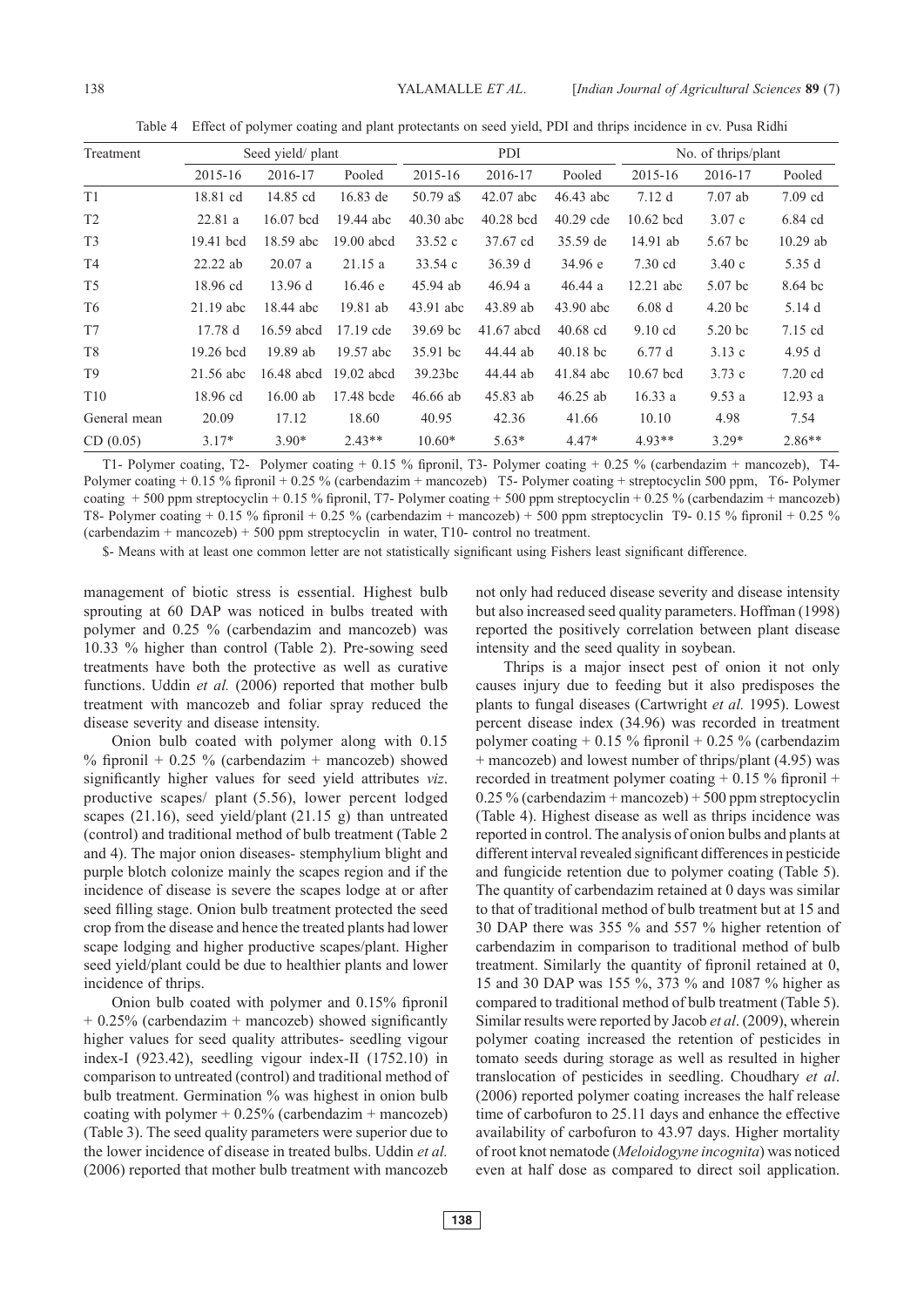Table 4 Effect of polymer coating and plant protectants on seed yield, PDI and thrips incidence in cv. Pusa Ridhi

| Treatment       |             | Seed yield/ plant |              |             | PDI         |             | No. of thrips/plant |                    |            |  |
|-----------------|-------------|-------------------|--------------|-------------|-------------|-------------|---------------------|--------------------|------------|--|
|                 | 2015-16     | 2016-17           | Pooled       | 2015-16     | 2016-17     | Pooled      | 2015-16             | 2016-17            | Pooled     |  |
| T <sub>1</sub>  | 18.81 cd    | 14.85 cd          | 16.83 de     | 50.79 a\$   | $42.07$ abc | $46.43$ abc | 7.12d               | $7.07$ ab          | $7.09$ cd  |  |
| T <sub>2</sub>  | 22.81a      | 16.07 bcd         | 19.44 abc    | $40.30$ abc | 40.28 bcd   | $40.29$ cde | $10.62$ bcd         | 3.07c              | 6.84 cd    |  |
| T <sub>3</sub>  | 19.41 bcd   | 18.59 abc         | 19.00 abcd   | 33.52c      | 37.67 cd    | 35.59 de    | 14.91 ab            | 5.67 bc            | $10.29$ ab |  |
| T4              | $22.22$ ab  | 20.07a            | 21.15a       | 33.54c      | 36.39 d     | 34.96 e     | $7.30$ cd           | 3.40c              | 5.35 d     |  |
| T <sub>5</sub>  | 18.96 cd    | 13.96 d           | 16.46 e      | 45.94 ab    | 46.94a      | 46.44a      | $12.21$ abc         | 5.07 bc            | 8.64 bc    |  |
| T6              | $21.19$ abc | 18.44 abc         | 19.81 ab     | 43.91 abc   | 43.89 ab    | 43.90 abc   | 6.08d               | 4.20 <sub>bc</sub> | 5.14d      |  |
| T7              | 17.78d      | 16.59 abcd        | $17.19$ cde  | $39.69$ bc  | 41.67 abcd  | $40.68$ cd  | $9.10$ cd           | $5.20$ bc          | 7.15 cd    |  |
| T <sub>8</sub>  | $19.26$ bcd | 19.89 ab          | 19.57 abc    | 35.91 bc    | 44.44 ab    | $40.18$ bc  | 6.77d               | 3.13c              | 4.95d      |  |
| T <sub>9</sub>  | 21.56 abc   | 16.48 abcd        | $19.02$ abcd | 39.23bc     | 44.44 ab    | 41.84 abc   | $10.67$ bcd         | 3.73c              | $7.20$ cd  |  |
| T <sub>10</sub> | 18.96 cd    | $16.00$ ab        | 17.48 bcde   | $46.66$ ab  | 45.83 ab    | $46.25$ ab  | 16.33a              | 9.53a              | 12.93 a    |  |
| General mean    | 20.09       | 17.12             | 18.60        | 40.95       | 42.36       | 41.66       | 10.10               | 4.98               | 7.54       |  |
| CD(0.05)        | $3.17*$     | $3.90*$           | $2.43**$     | $10.60*$    | $5.63*$     | $4.47*$     | $4.93**$            | $3.29*$            | $2.86**$   |  |

T1- Polymer coating, T2- Polymer coating + 0.15 % fipronil, T3- Polymer coating + 0.25 % (carbendazim + mancozeb), T4- Polymer coating + 0.15 % fipronil + 0.25 % (carbendazim + mancozeb) T5- Polymer coating + streptocyclin 500 ppm, T6- Polymer coating + 500 ppm streptocyclin + 0.15 % fipronil, T7- Polymer coating + 500 ppm streptocyclin + 0.25 % (carbendazim + mancozeb) T8- Polymer coating + 0.15 % fipronil + 0.25 % (carbendazim + mancozeb) + 500 ppm streptocyclin T9- 0.15 % fipronil + 0.25 % (carbendazim + mancozeb) + 500 ppm streptocyclin in water, T10- control no treatment.

\$- Means with at least one common letter are not statistically significant using Fishers least significant difference.

management of biotic stress is essential. Highest bulb sprouting at 60 DAP was noticed in bulbs treated with polymer and 0.25 % (carbendazim and mancozeb) was 10.33 % higher than control (Table 2). Pre-sowing seed treatments have both the protective as well as curative functions. Uddin *et al.* (2006) reported that mother bulb treatment with mancozeb and foliar spray reduced the disease severity and disease intensity.

Onion bulb coated with polymer along with 0.15 % fipronil + 0.25 % (carbendazim + mancozeb) showed significantly higher values for seed yield attributes *viz*. productive scapes/ plant (5.56), lower percent lodged scapes (21.16), seed yield/plant (21.15 g) than untreated (control) and traditional method of bulb treatment (Table 2 and 4). The major onion diseases- stemphylium blight and purple blotch colonize mainly the scapes region and if the incidence of disease is severe the scapes lodge at or after seed filling stage. Onion bulb treatment protected the seed crop from the disease and hence the treated plants had lower scape lodging and higher productive scapes/plant. Higher seed yield/plant could be due to healthier plants and lower incidence of thrips.

Onion bulb coated with polymer and 0.15% fipronil + 0.25% (carbendazim + mancozeb) showed significantly higher values for seed quality attributes- seedling vigour index-I (923.42), seedling vigour index-II (1752.10) in comparison to untreated (control) and traditional method of bulb treatment. Germination % was highest in onion bulb coating with polymer  $+ 0.25\%$  (carbendazim  $+$  mancozeb) (Table 3). The seed quality parameters were superior due to the lower incidence of disease in treated bulbs. Uddin *et al.* (2006) reported that mother bulb treatment with mancozeb not only had reduced disease severity and disease intensity but also increased seed quality parameters. Hoffman (1998) reported the positively correlation between plant disease intensity and the seed quality in soybean.

Thrips is a major insect pest of onion it not only causes injury due to feeding but it also predisposes the plants to fungal diseases (Cartwright *et al.* 1995). Lowest percent disease index (34.96) was recorded in treatment polymer coating  $+ 0.15 \%$  fipronil  $+ 0.25 \%$  (carbendazim + mancozeb) and lowest number of thrips/plant (4.95) was recorded in treatment polymer coating  $+$  0.15 % fipronil  $+$  $0.25\%$  (carbendazim + mancozeb) + 500 ppm streptocyclin (Table 4). Highest disease as well as thrips incidence was reported in control. The analysis of onion bulbs and plants at different interval revealed significant differences in pesticide and fungicide retention due to polymer coating (Table 5). The quantity of carbendazim retained at 0 days was similar to that of traditional method of bulb treatment but at 15 and 30 DAP there was 355 % and 557 % higher retention of carbendazim in comparison to traditional method of bulb treatment. Similarly the quantity of fipronil retained at 0, 15 and 30 DAP was 155 %, 373 % and 1087 % higher as compared to traditional method of bulb treatment (Table 5). Similar results were reported by Jacob *et al*. (2009), wherein polymer coating increased the retention of pesticides in tomato seeds during storage as well as resulted in higher translocation of pesticides in seedling. Choudhary *et al*. (2006) reported polymer coating increases the half release time of carbofuron to 25.11 days and enhance the effective availability of carbofuron to 43.97 days. Higher mortality of root knot nematode (*Meloidogyne incognita*) was noticed even at half dose as compared to direct soil application.